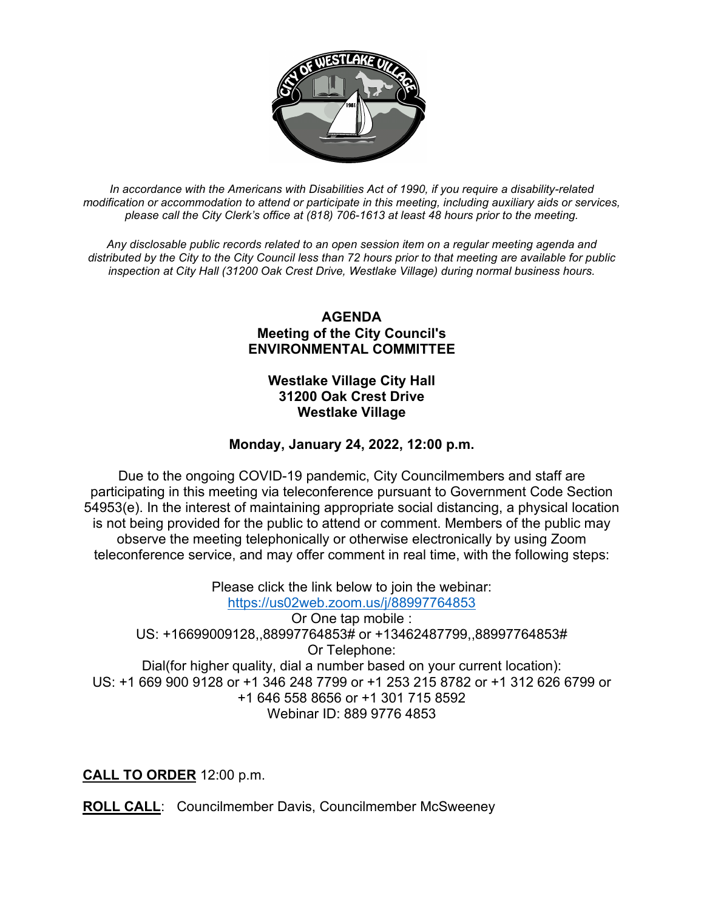

*In accordance with the Americans with Disabilities Act of 1990, if you require a disability-related modification or accommodation to attend or participate in this meeting, including auxiliary aids or services, please call the City Clerk's office at (818) 706-1613 at least 48 hours prior to the meeting.*

*Any disclosable public records related to an open session item on a regular meeting agenda and distributed by the City to the City Council less than 72 hours prior to that meeting are available for public inspection at City Hall (31200 Oak Crest Drive, Westlake Village) during normal business hours.* 

## **AGENDA Meeting of the City Council's ENVIRONMENTAL COMMITTEE**

## **Westlake Village City Hall 31200 Oak Crest Drive Westlake Village**

# **Monday, January 24, 2022, 12:00 p.m.**

Due to the ongoing COVID-19 pandemic, City Councilmembers and staff are participating in this meeting via teleconference pursuant to Government Code Section 54953(e). In the interest of maintaining appropriate social distancing, a physical location is not being provided for the public to attend or comment. Members of the public may observe the meeting telephonically or otherwise electronically by using Zoom teleconference service, and may offer comment in real time, with the following steps:

Please click the link below to join the webinar: <https://us02web.zoom.us/j/88997764853> Or One tap mobile : US: +16699009128,,88997764853# or +13462487799,,88997764853# Or Telephone: Dial(for higher quality, dial a number based on your current location): US: +1 669 900 9128 or +1 346 248 7799 or +1 253 215 8782 or +1 312 626 6799 or +1 646 558 8656 or +1 301 715 8592 Webinar ID: 889 9776 4853

**CALL TO ORDER** 12:00 p.m.

**ROLL CALL**: Councilmember Davis, Councilmember McSweeney